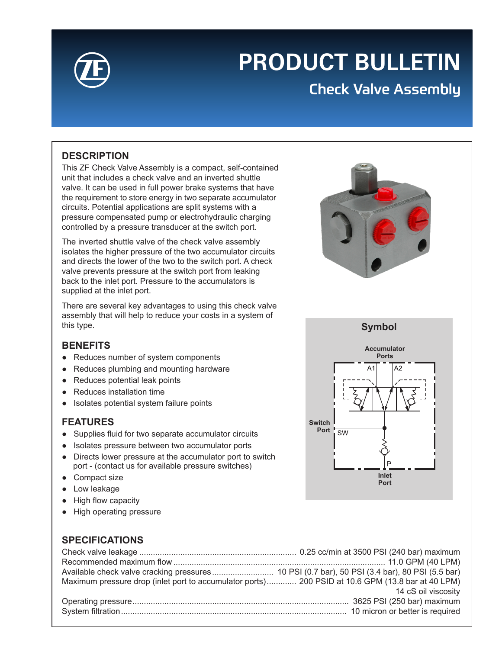

# **PRODUCT BULLETIN**

# Check Valve Assembly

### **DESCRIPTION**

This ZF Check Valve Assembly is a compact, self-contained unit that includes a check valve and an inverted shuttle valve. It can be used in full power brake systems that have the requirement to store energy in two separate accumulator circuits. Potential applications are split systems with a pressure compensated pump or electrohydraulic charging controlled by a pressure transducer at the switch port.

The inverted shuttle valve of the check valve assembly isolates the higher pressure of the two accumulator circuits and directs the lower of the two to the switch port. A check valve prevents pressure at the switch port from leaking back to the inlet port. Pressure to the accumulators is supplied at the inlet port.

There are several key advantages to using this check valve assembly that will help to reduce your costs in a system of this type.

#### **BENEFITS**

- Reduces number of system components
- Reduces plumbing and mounting hardware
- Reduces potential leak points
- Reduces installation time
- Isolates potential system failure points

#### **FEATURES**

- Supplies fluid for two separate accumulator circuits
- Isolates pressure between two accumulator ports
- Directs lower pressure at the accumulator port to switch port - (contact us for available pressure switches)
- Compact size
- Low leakage
- High flow capacity
- High operating pressure



# **SPECIFICATIONS**

| Maximum pressure drop (inlet port to accumulator ports) 200 PSID at 10.6 GPM (13.8 bar at 40 LPM) |                     |
|---------------------------------------------------------------------------------------------------|---------------------|
|                                                                                                   | 14 cS oil viscosity |
|                                                                                                   |                     |
|                                                                                                   |                     |